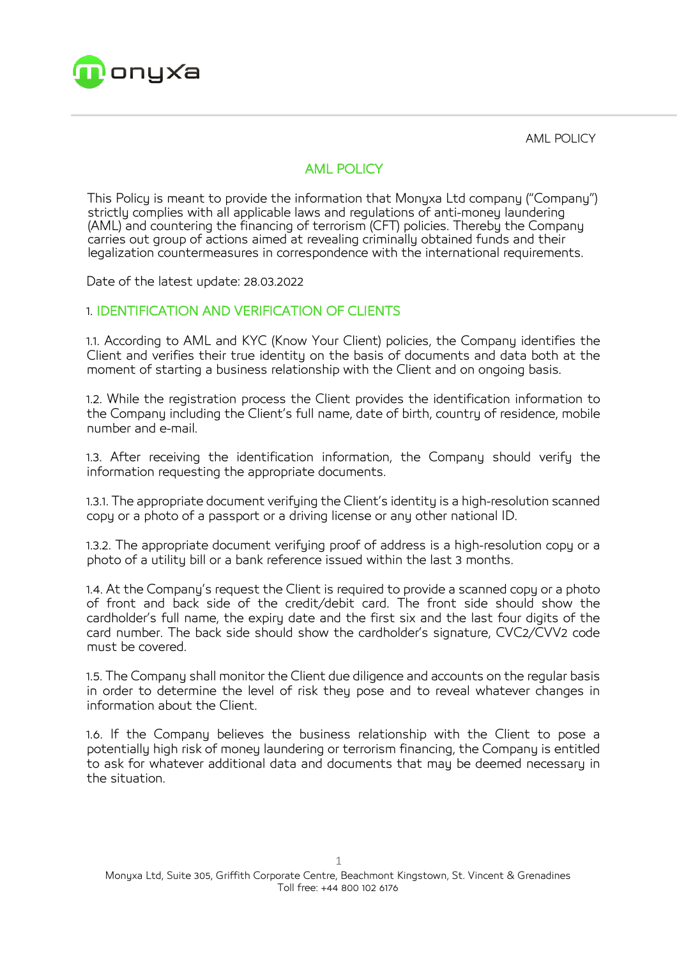

AML POLICY

# AML POLICY

This Policy is meant to provide the information that Monyxa Ltd company ("Company") strictly complies with all applicable laws and regulations of anti-money laundering (AML) and countering the financing of terrorism (CFT) policies. Thereby the Company carries out group of actions aimed at revealing criminally obtained funds and their legalization countermeasures in correspondence with the international requirements.

Date of the latest update: 28.03.2022

#### 1. IDENTIFICATION AND VERIFICATION OF CLIENTS

1.1. According to AML and KYC (Know Your Client) policies, the Company identifies the Client and verifies their true identity on the basis of documents and data both at the moment of starting a business relationship with the Client and on ongoing basis.

1.2. While the registration process the Client provides the identification information to the Company including the Client's full name, date of birth, country of residence, mobile number and e-mail.

1.3. After receiving the identification information, the Company should verify the information requesting the appropriate documents.

1.3.1. The appropriate document verifying the Client's identity is a high-resolution scanned copy or a photo of a passport or a driving license or any other national ID.

1.3.2. The appropriate document verifuing proof of address is a high-resolution copu or a photo of a utility bill or a bank reference issued within the last 3 months.

1.4. At the Company's request the Client is required to provide a scanned copy or a photo of front and back side of the credit/debit card. The front side should show the cardholder's full name, the expiry date and the first six and the last four digits of the card number. The back side should show the cardholder's signature, CVC2/CVV2 code must be covered.

1.5. The Company shall monitor the Client due diligence and accounts on the regular basis in order to determine the level of risk they pose and to reveal whatever changes in information about the Client.

1.6. If the Company believes the business relationship with the Client to pose a potentially high risk of money laundering or terrorism financing, the Company is entitled to ask for whatever additional data and documents that may be deemed necessary in the situation.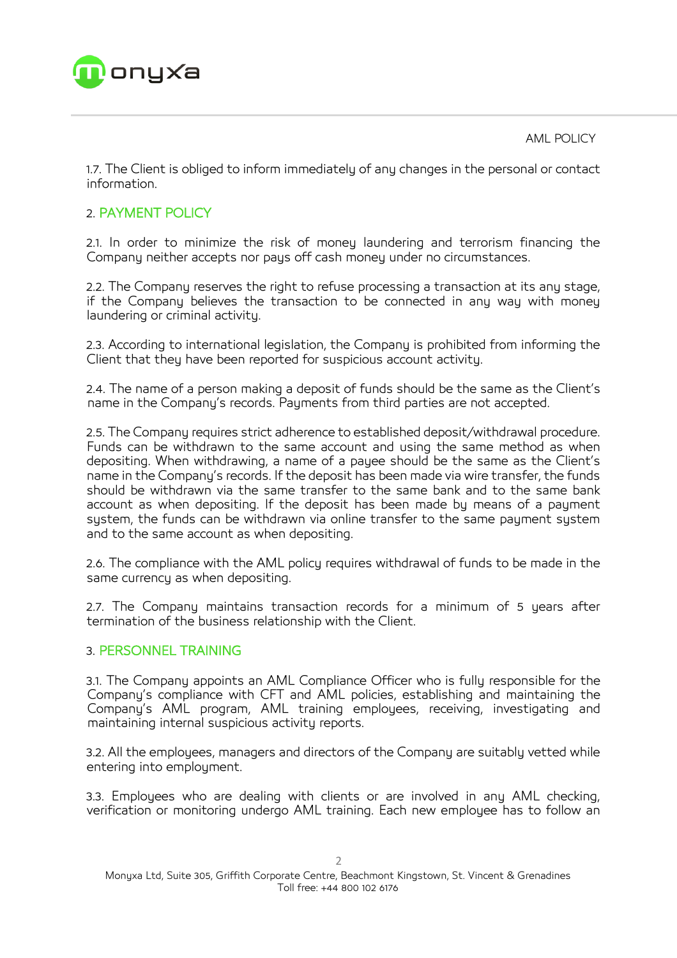

AML POLICY

1.7. The Client is obliged to inform immediately of any changes in the personal or contact information.

## 2. PAYMENT POLICY

2.1. In order to minimize the risk of money laundering and terrorism financing the Company neither accepts nor pays off cash money under no circumstances.

2.2. The Company reserves the right to refuse processing a transaction at its any stage, if the Company believes the transaction to be connected in any way with money laundering or criminal activity.

2.3. According to international legislation, the Company is prohibited from informing the Client that they have been reported for suspicious account activity.

2.4. The name of a person making a deposit of funds should be the same as the Client's name in the Company's records. Payments from third parties are not accepted.

2.5. The Company requires strict adherence to established deposit/withdrawal procedure. Funds can be withdrawn to the same account and using the same method as when depositing. When withdrawing, a name of a payee should be the same as the Client's name in the Company's records. If the deposit has been made via wire transfer, the funds should be withdrawn via the same transfer to the same bank and to the same bank account as when depositing. If the deposit has been made by means of a payment system, the funds can be withdrawn via online transfer to the same payment system and to the same account as when depositing.

2.6. The compliance with the AML policy requires withdrawal of funds to be made in the same currency as when depositing.

2.7. The Company maintains transaction records for a minimum of 5 years after termination of the business relationship with the Client.

### 3. PERSONNEL TRAINING

3.1. The Company appoints an AML Compliance Officer who is fully responsible for the Company's compliance with CFT and AML policies, establishing and maintaining the Company's AML program, AML training employees, receiving, investigating and maintaining internal suspicious activity reports.

3.2. All the employees, managers and directors of the Company are suitably vetted while entering into employment.

3.3. Employees who are dealing with clients or are involved in any AML checking, verification or monitoring undergo AML training. Each new employee has to follow an